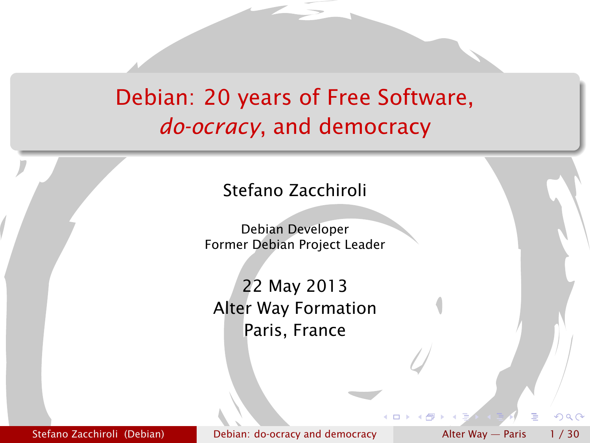## Debian: 20 years of Free Software, *do-ocracy*, and democracy



Debian Developer Former Debian Project Leader

22 May 2013 Alter Way Formation Paris, France

Stefano Zacchiroli (Debian) [Debian: do-ocracy and democracy](#page-31-0) and Alter Way — Paris 1/30

<span id="page-0-0"></span> $\Omega$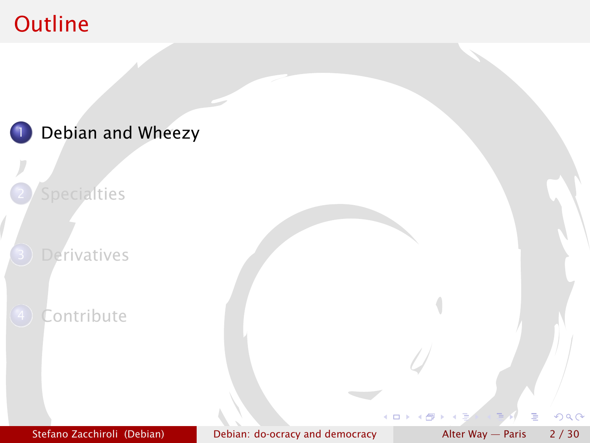## <span id="page-1-0"></span>**Outline**

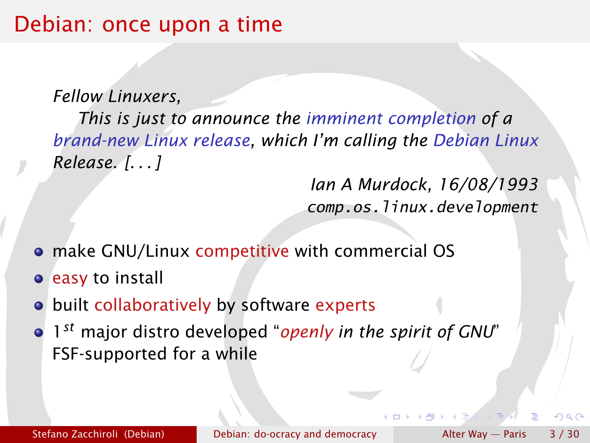#### Debian: once upon a time

*Fellow Linuxers,*

*This is just to announce the imminent completion of a brand-new Linux release, which I'm calling the Debian Linux Release. [. . . ]*

> *Ian A Murdock, 16/08/1993* comp.os.linux.development

- make GNU/Linux competitive with commercial OS
- **e** easy to install
- o built collaboratively by software experts
- 1 *st* major distro developed "*openly in the spirit of GNU*" FSF-supported for a while

 $\cap$  a  $\cap$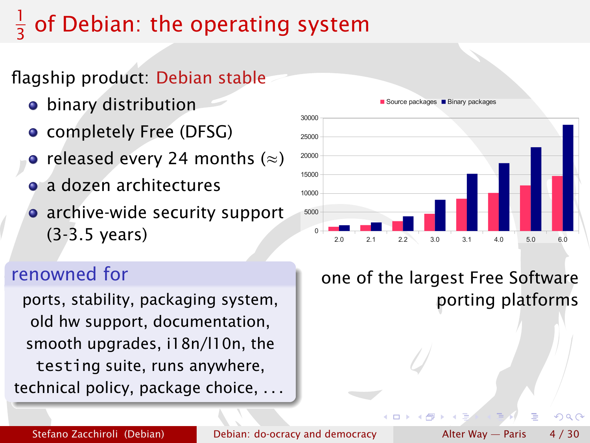#### 1 3 of Debian: the operating system

#### flagship product: Debian stable

- binary distribution
- completely Free (DFSG)
- released every 24 months  $(\approx)$
- a dozen architectures
- archive-wide security support (3-3.5 years)

#### renowned for

ports, stability, packaging system, old hw support, documentation, smooth upgrades, i18n/l10n, the testing suite, runs anywhere, technical policy, package choice, . . .



#### Source packages **Binary packages**

one of the largest Free Software porting platforms

 $\Omega$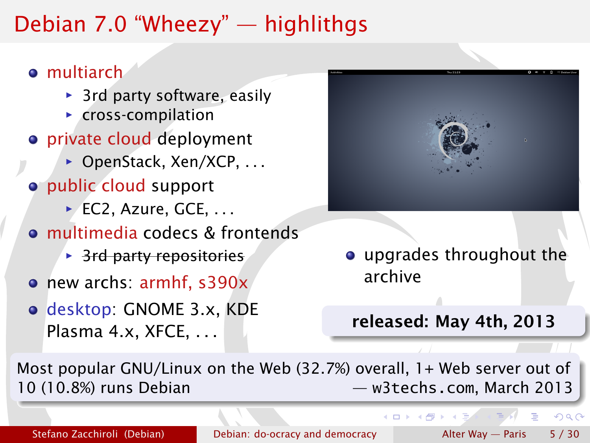## Debian 7.0 "Wheezy" — highlithgs

#### **o** multiarch

- ▶ 3rd party software, easily
- **F** cross-compilation
- **•** private cloud deployment
	- ▶ OpenStack, Xen/XCP, ...
- public cloud support
	- **▶ EC2, Azure, GCE, ...**
- multimedia codecs & frontends
	- **B** 3rd party repositories
- new archs: armhf, s390x
- desktop: GNOME 3.x, KDE Plasma 4.x, XFCE, ...



upgrades throughout the archive

#### released: May 4th, 2013

**K ロ ト K 何 ト K 三** 

Most popular GNU/Linux on the Web (32.7%) overall, 1+ Web server out of 10 (10.8%) runs Debian — [w3techs.com](http://w3techs.com), March 2013

Stefano Zacchiroli (Debian) [Debian: do-ocracy and democracy](#page-0-0) Alter Way — Paris 5 / 30

 $QQ$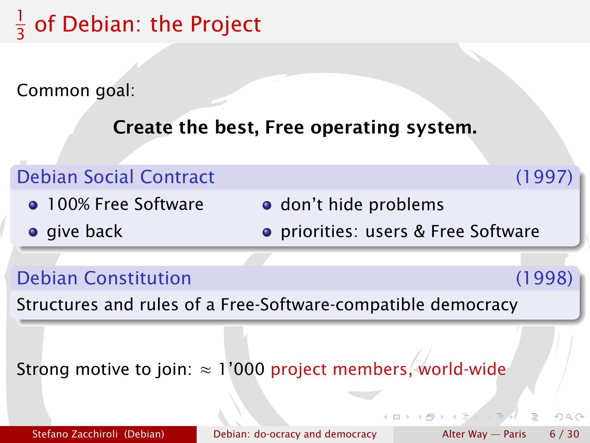#### 1  $\frac{1}{3}$  of Debian: the Project

Common goal:

Create the best, Free operating system.

#### Debian Social Contract (1997) **• 100% Free Software o** give back o don't hide problems priorities: users & Free Software

Debian Constitution (1998)

 $\Omega$ 

Structures and rules of a Free-Software-compatible democracy

Strong motive to join:  $\approx 1'000$  project members, world-wide

Stefano Zacchiroli (Debian) [Debian: do-ocracy and democracy](#page-0-0) Alter Way — Paris 6/30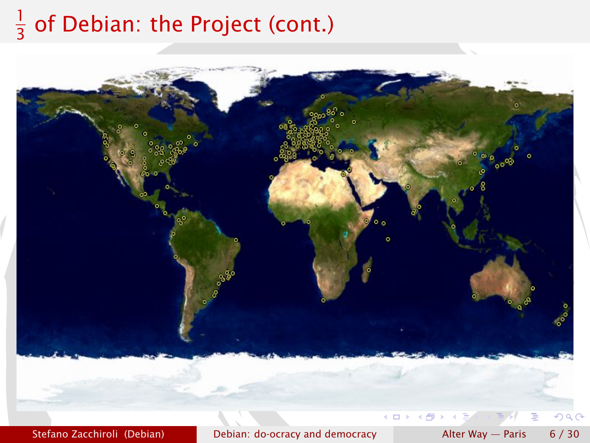#### 1  $\frac{1}{3}$  of Debian: the Project (cont.)

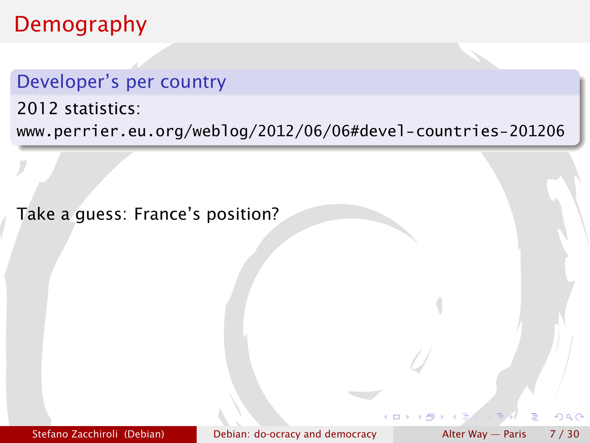### Demography

#### Developer's per country

2012 statistics:

<www.perrier.eu.org/weblog/2012/06/06#devel-countries-201206>

Take a guess: France's position?

Stefano Zacchiroli (Debian) [Debian: do-ocracy and democracy](#page-0-0) Alter Way — Paris 7 / 30

 $\cap$  a  $\cap$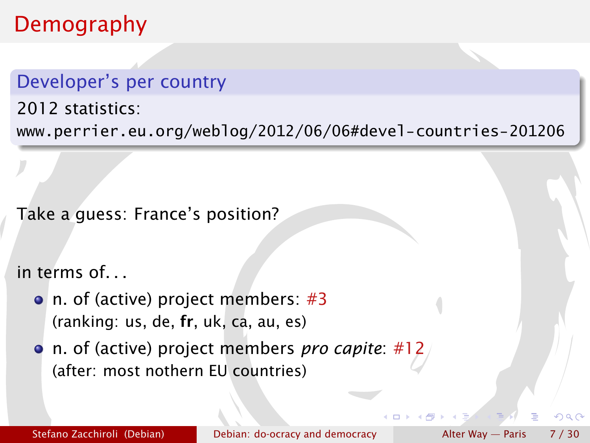## Demography

#### Developer's per country

2012 statistics:

<www.perrier.eu.org/weblog/2012/06/06#devel-countries-201206>

Take a guess: France's position?

in terms of. . .

- n. of (active) project members: #3 (ranking: us, de, fr, uk, ca, au, es)
- n. of (active) project members *pro capite*: #12 (after: most nothern EU countries)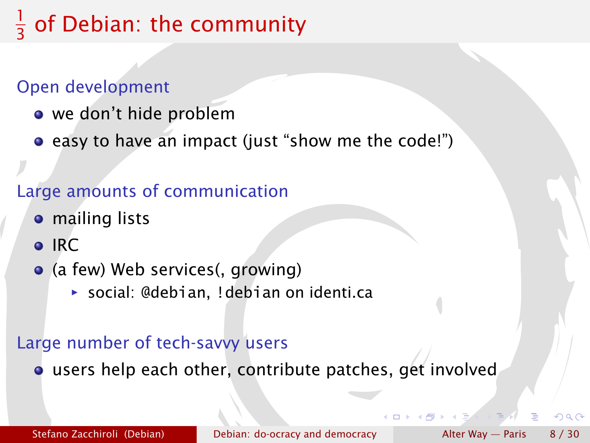#### 1 3 of Debian: the community

#### Open development

- we don't hide problem
- **•** easy to have an impact (just "show me the code!")

#### Large amounts of communication

- **•** mailing lists
- o IRC
- (a few) Web services(, growing)
	- **▶ social: @debian, !debian on identi.ca**

#### Large number of tech-savvy users

users help each other, contribute patches, get involved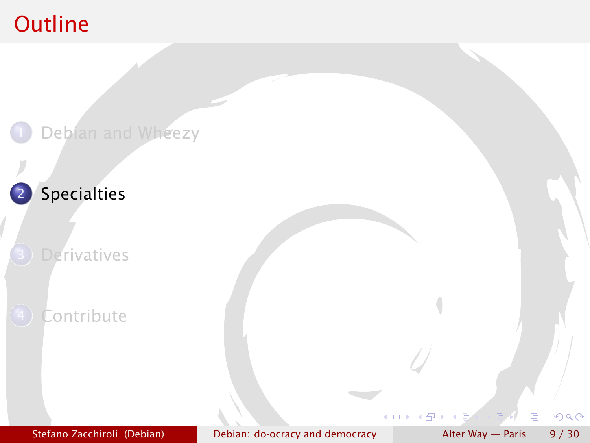## **Outline**

<span id="page-10-0"></span>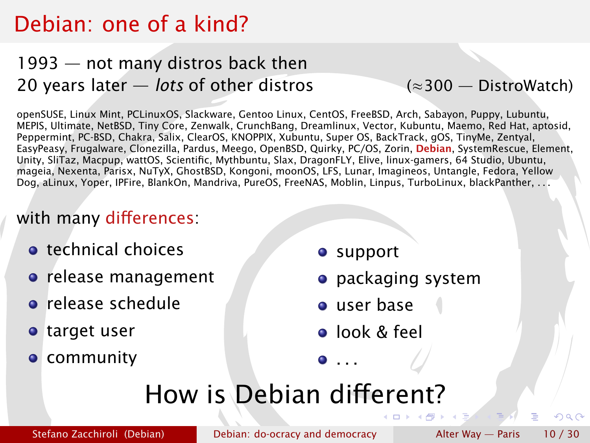## Debian: one of a kind?

#### 1993 — not many distros back then 20 years later — *lots* of other distros (≈300 — [DistroWatch\)](http://distrowatch.com)

openSUSE, Linux Mint, PCLinuxOS, Slackware, Gentoo Linux, CentOS, FreeBSD, Arch, Sabayon, Puppy, Lubuntu, MEPIS, Ultimate, NetBSD, Tiny Core, Zenwalk, CrunchBang, Dreamlinux, Vector, Kubuntu, Maemo, Red Hat, aptosid, Peppermint, PC-BSD, Chakra, Salix, ClearOS, KNOPPIX, Xubuntu, Super OS, BackTrack, gOS, TinyMe, Zentyal, EasyPeasy, Frugalware, Clonezilla, Pardus, Meego, OpenBSD, Quirky, PC/OS, Zorin, Debian, SystemRescue, Element, Unity, SliTaz, Macpup, wattOS, Scientific, Mythbuntu, Slax, DragonFLY, Elive, linux-gamers, 64 Studio, Ubuntu, mageia, Nexenta, Parisx, NuTyX, GhostBSD, Kongoni, moonOS, LFS, Lunar, Imagineos, Untangle, Fedora, Yellow Dog, aLinux, Yoper, IPFire, BlankOn, Mandriva, PureOS, FreeNAS, Moblin, Linpus, TurboLinux, blackPanther, . . .

#### with many differences:

- **o** technical choices
- **o** release management
- **•** release schedule
- target user
- **o** community
- **o** support
- **•** packaging system
- user base
- **o** look & feel

 $\bullet$  . . .

# How is Debian different?

Stefano Zacchiroli (Debian) [Debian: do-ocracy and democracy](#page-0-0) Alter Way — Paris 10 / 30

つQへ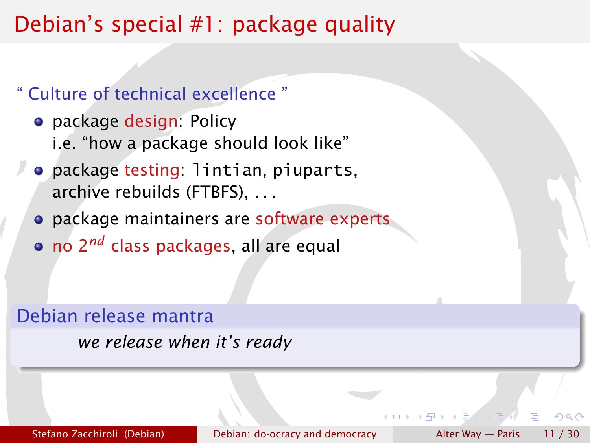## Debian's special #1: package quality

#### " Culture of technical excellence "

- **•** package design: Policy i.e. "how a package should look like"
- package testing: lintian, piuparts, archive rebuilds (FTBFS), . . .
- **•** package maintainers are software experts
- no 2*nd* class packages, all are equal

#### Debian release mantra

*we release when it's ready*

Stefano Zacchiroli (Debian) [Debian: do-ocracy and democracy](#page-0-0) Alter Way — Paris 11 / 30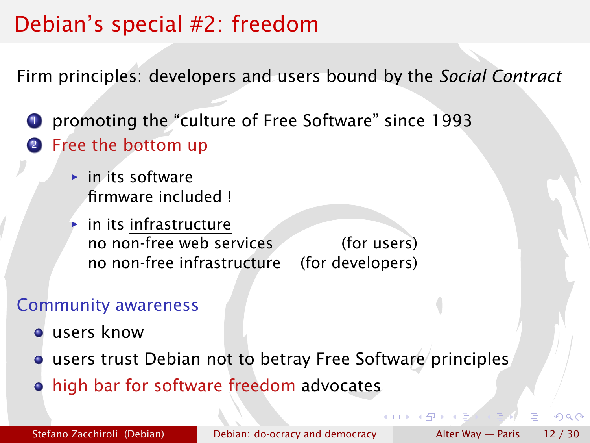## Debian's special #2: freedom

Firm principles: developers and users bound by the *Social Contract*

<sup>1</sup> promoting the "culture of Free Software" since 1993 **2** Free the bottom up

- ► in its software firmware included !
- *<sup>ñ</sup>* in its infrastructure no non-free web services (for users) no non-free infrastructure (for developers)

#### Community awareness

- users know
- **o** users trust Debian not to betray Free Software principles
- high bar for software freedom advocates

 $\Omega$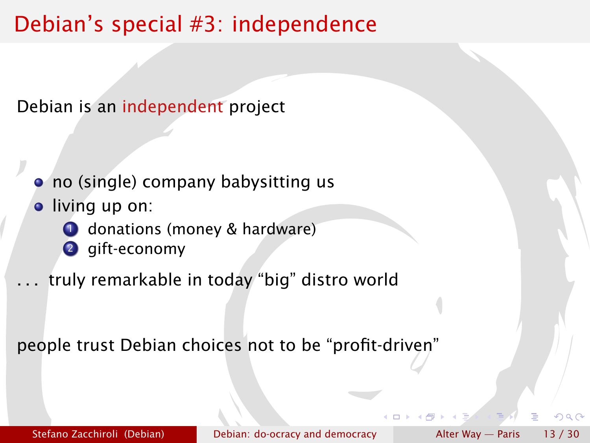## Debian's special #3: independence

Debian is an independent project

- no (single) company babysitting us
- **·** living up on:
	- **1** donations (money & hardware)
	- <sup>2</sup> gift-economy
- . . . truly remarkable in today "big" distro world

<span id="page-14-0"></span>people trust Debian choices not to be "profit-driven"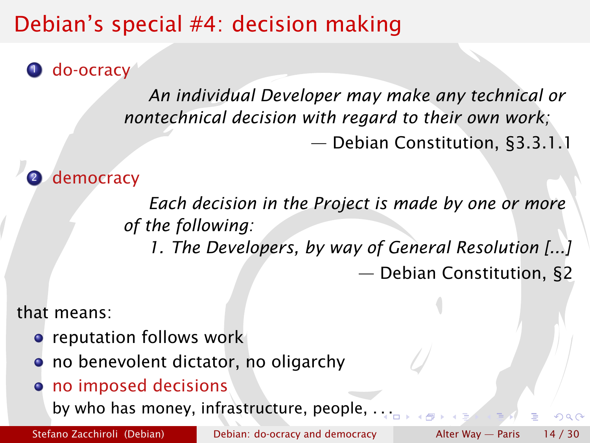# Debian's special #4: decision making

**O** do-ocracy

*An individual Developer may make any technical or nontechnical decision with regard to their own work;* — Debian Constitution, §3.3.1.1

democracy

*Each decision in the Project is made by one or more of the following:*

*1. The Developers, by way of General Resolution [...]* — Debian Constitution, §2

that means:

- **•** reputation follows work
- **o** no benevolent dictator, no oligarchy
- no imposed decisions

by who has money, infrastructure, people, . [. .](#page-14-0)

Stefano Zacchiroli (Debian) [Debian: do-ocracy and democracy](#page-0-0) Alter Way — Paris 14 / 30

<span id="page-15-0"></span>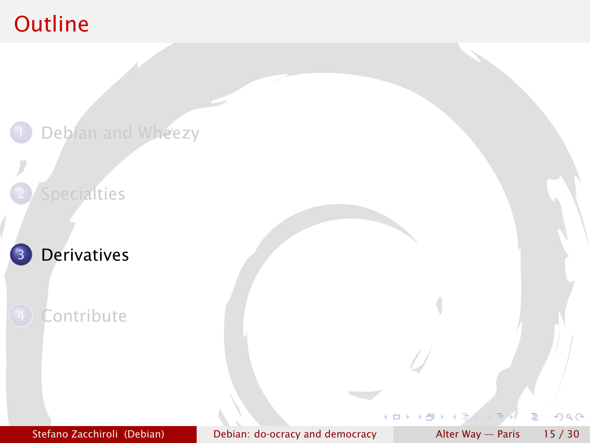## **Outline**

<span id="page-16-0"></span>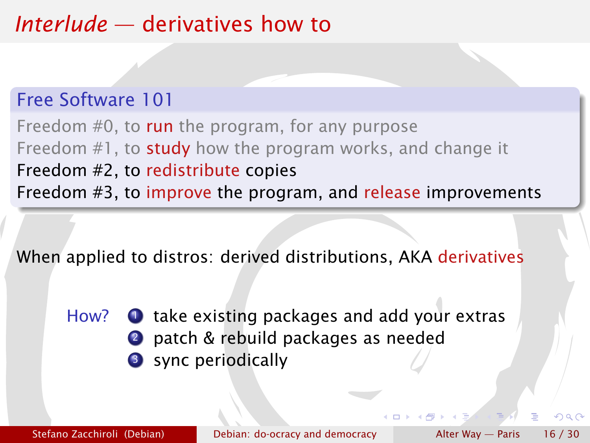## *Interlude* — derivatives how to

#### Free Software 101

Freedom #0, to run the program, for any purpose Freedom #1, to study how the program works, and change it Freedom #2, to redistribute copies Freedom #3, to improve the program, and release improvements

When applied to distros: derived distributions, AKA derivatives

How?  $\bullet$  take existing packages and add your extras 2 patch & rebuild packages as needed **3** sync periodically

Stefano Zacchiroli (Debian) [Debian: do-ocracy and democracy](#page-0-0) Alter Way — Paris 16 / 30

 $\alpha \alpha$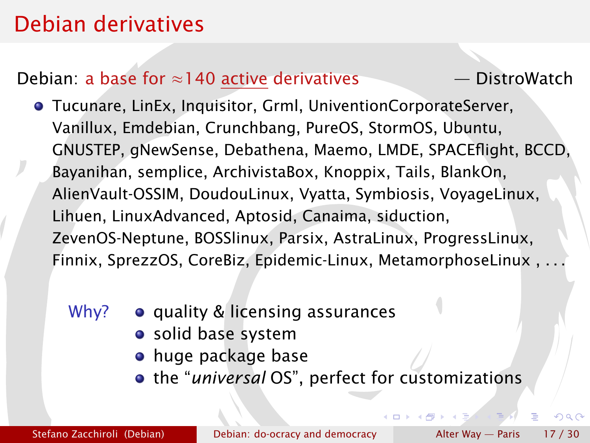## Debian derivatives

#### Debian: a base for ≈140 active derivatives — [DistroWatch](http://distrowatch.com)

- Tucunare, LinEx, Inquisitor, Grml, UniventionCorporateServer, Vanillux, Emdebian, Crunchbang, PureOS, StormOS, Ubuntu, GNUSTEP, gNewSense, Debathena, Maemo, LMDE, SPACEflight, BCCD, Bayanihan, semplice, ArchivistaBox, Knoppix, Tails, BlankOn, AlienVault-OSSIM, DoudouLinux, Vyatta, Symbiosis, VoyageLinux, Lihuen, LinuxAdvanced, Aptosid, Canaima, siduction, ZevenOS-Neptune, BOSSlinux, Parsix, AstraLinux, ProgressLinux, Finnix, SprezzOS, CoreBiz, Epidemic-Linux, MetamorphoseLinux , . . .
	- Why?  $\bullet$  quality & licensing assurances
		- solid base system
		- **•** huge package base
		- the "*universal* OS", perfect for customizations

 $+ \Box$   $+ \Box$ 

 $\Omega$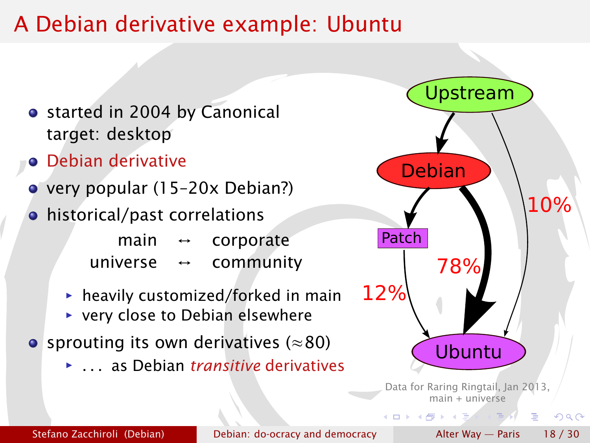## A Debian derivative example: Ubuntu

- started in 2004 by Canonical target: desktop
- **•** Debian derivative
- very popular (15–20x Debian?)
- historical/past correlations
	- main  $\leftrightarrow$  corporate universe ↔ community
	- **hartharhor** heavily customized/forked in main
	- ▶ very close to Debian elsewhere
- sprouting its own derivatives ( $\approx 80$ )
	- *<sup>ñ</sup>* . . . as Debian *transitive* derivatives



 $main +$   $universe$ 

4 m x 4 m x 4 m x

Stefano Zacchiroli (Debian) [Debian: do-ocracy and democracy](#page-0-0) Alter Way — Paris 18 / 30

<span id="page-19-0"></span> $QQ$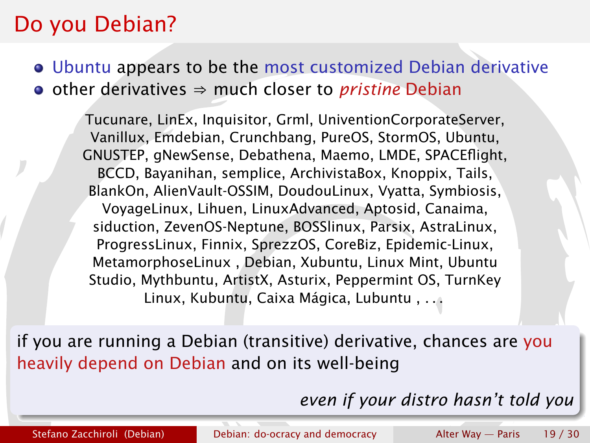### Do you Debian?

Ubuntu appears to be the most customized Debian derivative • other derivatives ⇒ much closer to *pristine* Debian

Tucunare, LinEx, Inquisitor, Grml, UniventionCorporateServer, Vanillux, Emdebian, Crunchbang, PureOS, StormOS, Ubuntu, GNUSTEP, gNewSense, Debathena, Maemo, LMDE, SPACEflight, BCCD, Bayanihan, semplice, ArchivistaBox, Knoppix, Tails, BlankOn, AlienVault-OSSIM, DoudouLinux, Vyatta, Symbiosis, VoyageLinux, Lihuen, LinuxAdvanced, Aptosid, Canaima, siduction, ZevenOS-Neptune, BOSSlinux, Parsix, AstraLinux, ProgressLinux, Finnix, SprezzOS, CoreBiz, Epidemic-Linux, MetamorphoseLinux , Debian, Xubuntu, Linux Mint, Ubuntu Studio, Mythbuntu, ArtistX, Asturix, Peppermint OS, TurnKey Linux, Kubuntu, Caixa Mágica, Lubuntu , . . .

if you are running a Debian (transitive) derivative, chances are you heavily depend on Debian and on its well-being

<span id="page-20-0"></span>*even if yo[ur](#page-19-0) [di](#page-21-0)[s](#page-19-0)[tr](#page-20-0)[o](#page-21-0)[h](#page-16-0)[a](#page-20-0)[s](#page-21-0)[n](#page-15-0)['t](#page-16-0)[t](#page-21-0)[ol](#page-0-0)[d y](#page-31-0)ou*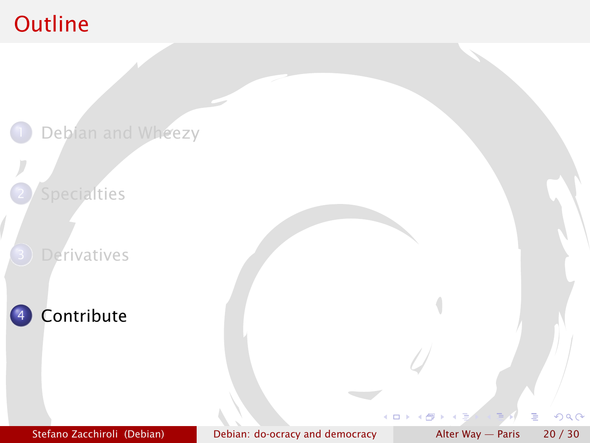## **Outline**

<span id="page-21-0"></span>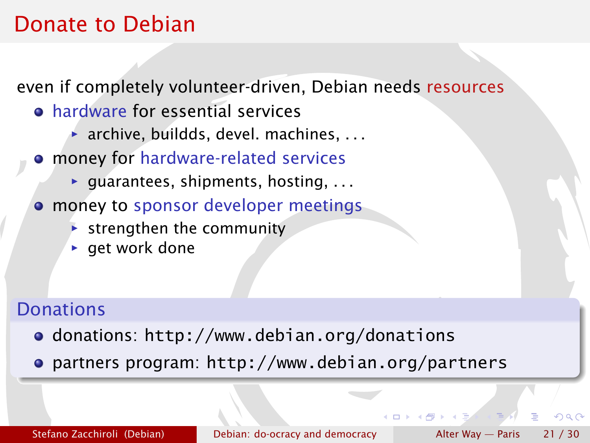## Donate to Debian

even if completely volunteer-driven, Debian needs resources

- hardware for essential services
	- **▶ archive, buildds, devel. machines, ...**
- money for hardware-related services
	- ▶ guarantees, shipments, hosting, . . .
- **money to sponsor developer meetings** 
	- **Follo strengthen the community**
	- **P** get work done

#### **Donations**

- donations: <http://www.debian.org/donations>
- partners program: <http://www.debian.org/partners>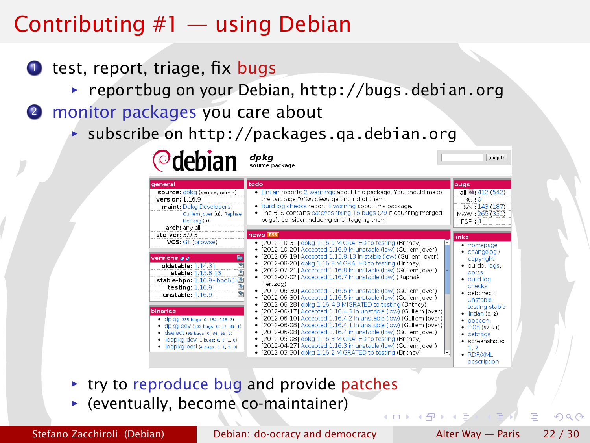## Contributing #1 — using Debian

- $\bullet$  test, report, triage, fix bugs
	- **▶ reportbug on your Debian, <http://bugs.debian.org>**
- 2 monitor packages you care about

**Odobian** dpkg

**▶ subscribe on http://packages.ga.debian.org** 

| deneral                                                                                                                                                                                               | todo                                                                                                                                                                                                                                                                                                                                                                                                                                                                                                                                                                                                                | bugs                                                                                                                                       |
|-------------------------------------------------------------------------------------------------------------------------------------------------------------------------------------------------------|---------------------------------------------------------------------------------------------------------------------------------------------------------------------------------------------------------------------------------------------------------------------------------------------------------------------------------------------------------------------------------------------------------------------------------------------------------------------------------------------------------------------------------------------------------------------------------------------------------------------|--------------------------------------------------------------------------------------------------------------------------------------------|
| source: dpkg (source, admin)<br>version: 1.16.9<br>maint: Doko Developers.<br>Guillem Jover (u), Raphaël<br>Hertzog (u)<br>arch: any all                                                              | . Lintian reports 2 warnings about this package. You should make<br>the package lintlan clean getting rid of them.<br>. Build log checks report 1 warning about this package.<br>The BTS contains patches fixing 16 bugs (29 if counting merged<br>bugs), consider including or untagging them.                                                                                                                                                                                                                                                                                                                     | all @: 412 (542)<br>RC:0<br>I&N: 143 (187)<br>M&W: 265 (351)<br>$F\&P:4$                                                                   |
| std-ver: 3.9.3                                                                                                                                                                                        | news RSS                                                                                                                                                                                                                                                                                                                                                                                                                                                                                                                                                                                                            | links                                                                                                                                      |
| VCS: Git (browse)<br>朣<br>versions a a<br>e e<br>oldstable: 1.14.31<br>stable: 1.15.8.13<br>$+39$<br>stable-bpo: 1.16.9~bpo60<br>固<br>testing: $1.16.9$<br>unstable: 1.16.9                           | · [2012-10-31] dpkg 1.16.9 MIGRATED to testing (Britney)<br>[2012-10-20] Accepted 1.16.9 in unstable (low) (Guillem lover)<br>٠<br>· [2012-09-19] Accepted 1.15.8.13 in stable (low) (Guillem lover)<br>· [2012-08-20] dpkg 1.16.8 MIGRATED to testing (Britney)<br>· [2012-07-21] Accepted 1.16.8 in unstable (low) (Guillem Jover)<br>· [2012-07-02] Accepted 1.16.7 in unstable (low) (Raphaël<br>Hertzog)<br>· [2012-06-30] Accepted 1.16.6 in unstable (low) (Guillem Jover)<br>· [2012-06-30] Accepted 1.16.5 in unstable (low) (Guillem Jover)<br>· [2012-06-28] dokg 1.16.4.3 MIGRATED to testing (Britney) | • homepage<br>· changelog /<br>copyright<br>· buildd: logs,<br>ports<br>· build log<br>checks<br>· debcheck:<br>unstable<br>testing stable |
| binaries<br>• CDKG (335 bugs: 0, 134, 198, 3)<br>· dpkg-dev (102 bugs: 0, 17, 84, 1)<br>Ciselect (99 bugs: 0, 34, 65, 0)<br>· libdpkg-dev (1 bugs: 0, 0, 1, 0)<br>· libdpkg-perl (4 bugs: 0, 1, 3, 0) | · [2012-06-17] Accepted 1.16.4.3 in unstable (low) (Guillem lover)<br>· [2012-06-10] Accepted 1.16.4.2 in unstable (low) (Guillem Jover)<br>· [2012-06-08] Accepted 1.16.4.1 in unstable (low) (Guillem Jover)<br>· [2012-06-08] Accepted 1.16.4 in unstable (low) (Guillem lover)<br>· [2012-05-08] dpkg 1.16.3 MIGRATED to testing (Britney)<br>· [2012-04-27] Accepted 1.16.3 in unstable (low) (Guillem Jover)<br>· [2012-03-30] dokg 1.16.2 MIGRATED to testing (Britney)<br>٠                                                                                                                                 | $\bullet$ lintian (0, 2)<br>· popcon<br>$\bullet$ 110n (67, 71)<br>• debtags<br>· screenshots:<br>1.2<br>· RDF/XML                         |

- **► try to reproduce bug and provide patches**
- **F** (eventually, become co-maintainer)

Stefano Zacchiroli (Debian) [Debian: do-ocracy and democracy](#page-0-0) Alter Way — Paris 22 / 30

 $\alpha$ 

jumn to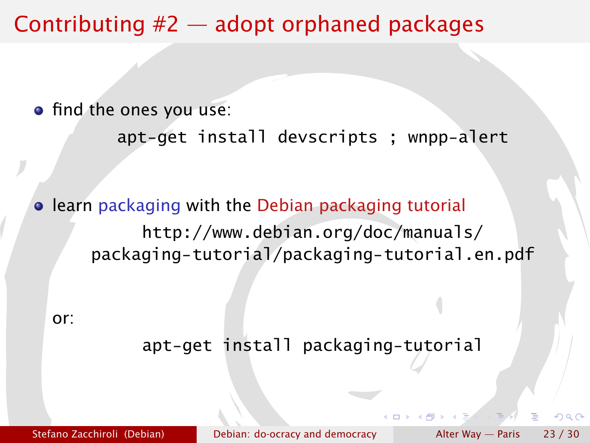## Contributing #2 — adopt orphaned packages

• find the ones you use:

```
apt-get install devscripts ; wnpp-alert
```
**• learn packaging with the Debian packaging tutorial** [http://www.debian.org/doc/manuals/](http://www.debian.org/doc/manuals/packaging-tutorial/packaging-tutorial.en.pdf) [packaging-tutorial/packaging-tutorial.en.pdf](http://www.debian.org/doc/manuals/packaging-tutorial/packaging-tutorial.en.pdf)

or:

#### apt-get install packaging-tutorial

Stefano Zacchiroli (Debian) [Debian: do-ocracy and democracy](#page-0-0) Alter Way — Paris 23 / 30

つQへ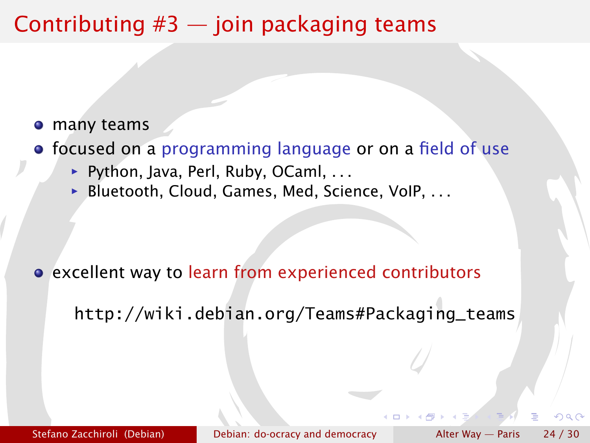## Contributing  $#3$  — join packaging teams

- many teams
- focused on a programming language or on a field of use
	- ▶ Python, Java, Perl, Ruby, OCaml, . . .
	- ▶ Bluetooth, Cloud, Games, Med, Science, VoIP, . . .

excellent way to learn from experienced contributors

[http://wiki.debian.org/Teams#Packaging\\_teams](http://wiki.debian.org/Teams#Packaging_teams)

Stefano Zacchiroli (Debian) [Debian: do-ocracy and democracy](#page-0-0) Alter Way — Paris 24 / 30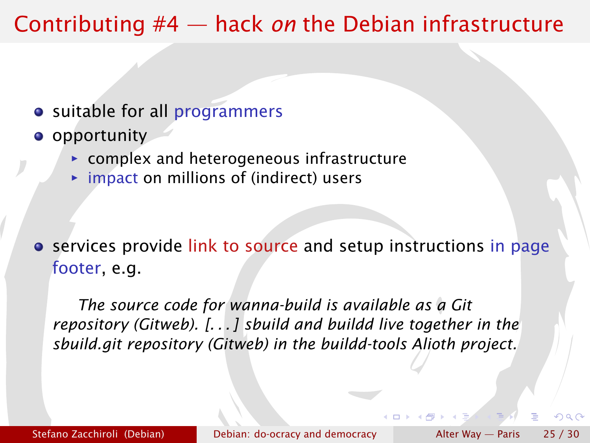## Contributing #4 — hack *on* the Debian infrastructure

- suitable for all programmers
- **o** opportunity
	- **Follow** complex and heterogeneous infrastructure
	- **►** impact on millions of (indirect) users

**•** services provide link to source and setup instructions in page footer, e.g.

*The source code for wanna-build is available as a [Git](git://git.debian.org/mirror/wanna-build.git) [repository](git://git.debian.org/mirror/wanna-build.git) [\(Gitweb\)](http://git.debian.org/?p=mirror/wanna-build.git;a=summary). [. . . ] sbuild and buildd live together in the [sbuild.git repository](git://git.debian.org/buildd-tools/sbuild.git) [\(Gitweb\)](http://git.debian.org/?p=buildd-tools/sbuild.git) in the buildd-tools Alioth project.*

Stefano Zacchiroli (Debian) [Debian: do-ocracy and democracy](#page-0-0) Alter Way — Paris 25 / 30

 $\alpha \alpha$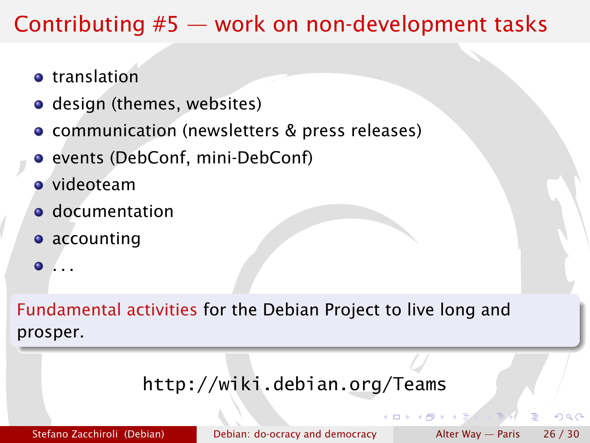## Contributing #5 — work on non-development tasks

- **o** translation
- design (themes, websites)
- communication (newsletters & press releases)
- **•** events (DebConf, mini-DebConf)
- videoteam
- **o** documentation
- **•** accounting
- . . .  $\bullet$

Fundamental activities for the Debian Project to live long and prosper.

#### <http://wiki.debian.org/Teams>

Stefano Zacchiroli (Debian) [Debian: do-ocracy and democracy](#page-0-0) Alter Way — Paris  $26/30$ 

つQへ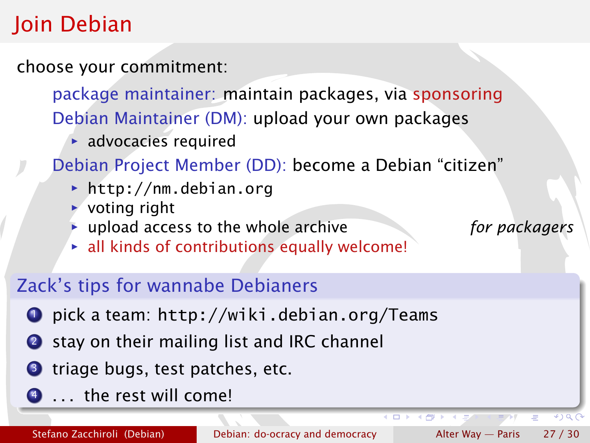# Join Debian

choose your commitment:

package maintainer: maintain packages, via sponsoring Debian Maintainer (DM): upload your own packages

**advocacies required** 

Debian Project Member (DD): become a Debian "citizen"

- *<sup>ñ</sup>* <http://nm.debian.org>
- $\rightarrow$  voting right
- **inc** upload access to the whole archive *for packagers*
- **F** all kinds of contributions equally welcome!

#### Zack's tips for wannabe Debianers

- <sup>1</sup> pick a team: <http://wiki.debian.org/Teams>
- 2 stay on their mailing list and IRC channel
- **3** triage bugs, test patches, etc.
- <sup>4</sup> . . . the rest will come!

4 D F

 $4190$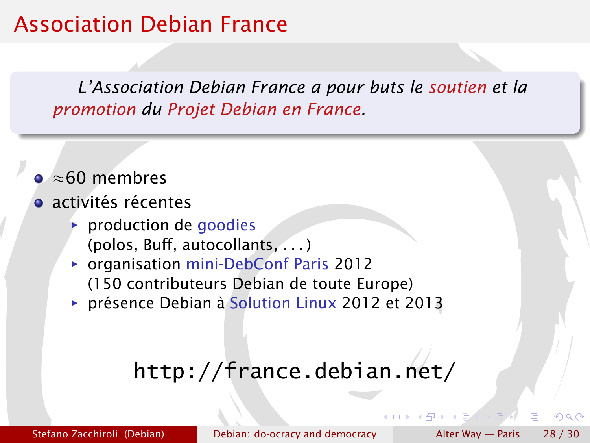## Association Debian France

*L'Association Debian France a pour buts le soutien et la promotion du Projet Debian en France.*

- ≈60 membres
- **a** activités récentes
	- **P** production de goodies (polos, Buff, autocollants, . . . )
	- **Parism organisation mini-DebConf Paris 2012** (150 contributeurs Debian de toute Europe)
	- **Parage Solution Linux 2012 et 2013**

# <http://france.debian.net/>

Stefano Zacchiroli (Debian) [Debian: do-ocracy and democracy](#page-0-0) Alter Way — Paris  $28/30$ 

 $\alpha \sim$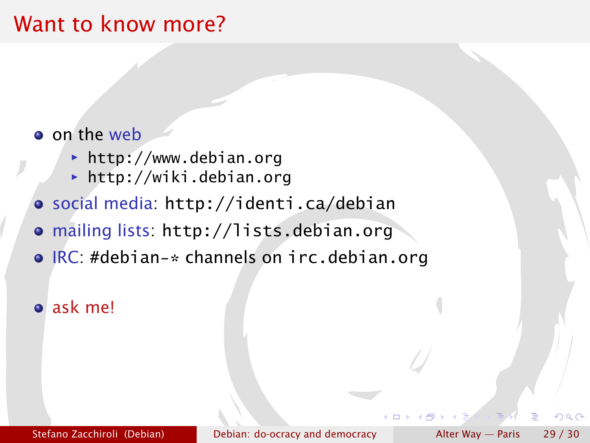## Want to know more?

#### o on the web

- **► <http://www.debian.org>**
- *<sup>ñ</sup>* <http://wiki.debian.org>
- social media: <http://identi.ca/debian>
- mailing lists: <http://lists.debian.org>
- IRC: #debian-\* channels on irc.debian.org

#### ask me!

Stefano Zacchiroli (Debian) [Debian: do-ocracy and democracy](#page-0-0) Alter Way — Paris 29 / 30

 $\alpha \sim$